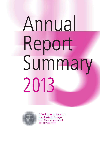# Annual Report Summary 2013



úřad pro ochranu osobních údajů the office for personal data protection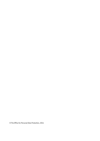© The Office for Personal Data Protection, 2014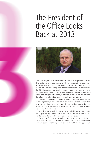# The President of the Office Looks Back at 2013



During the year, the Office observed that, in addition to the persistent personal data protection problems experienced by the responsible entities when processing large amounts of data, some truly old problems, long thought to be resolved, were reappearing. Inspections that took place in accordance with the 2013 inspection plan identified issues related to processing of large amounts of data. Based on these issues – issues that are both old and new – we were forced again after many years to bear witness to the incomprehensible efforts to crucify debtors and evade valid legal regulations.

In connection with the information gathered, I have great hopes that the possible impacts on privacy will be considered when new laws are being drafted, which, as I mentioned in last year's annual report, will help prevent situations where the possible difficulties with personal data protection are only discovered after a regulation is adopted.

Nevertheless, new judicial rulings are also a very valuable source of information for applying the supervisory duties of the Office for Personal Data Protection – and a part of this annual report focuses on this source explicitly.

In 2013, the Office exercised its authority granted to it in 2012 to deal with "data breaches", i.e., monitoring and prosecuting breaches of electronic communication, and although it offered a comfortable reporting procedure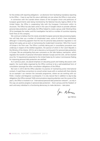for the entities with reporting obligations – an electronic form facilitating mandatory reporting to the Office – I have to say that this area is definitely not one where the Office is most active.

In connection with the scandal where citizens of the European Union and politicians of European governments were being monitored by the National Security Agency (NSA) of the United States, the Office is cooperating fully with the European Commission within its structures. The Office has also been active in the case of Google's failure to provide sufficient personal data protection; specifically, the Office helped to create a group under Working Party 29 to investigate the matter, and this investigation has led to a number of countries imposing harsh fines on this company.

We continue to believe that the newly amended European personal data processing legislation will help clear up a number of complicated cases, some of which I have mentioned, although it is becoming apparent that the new EU personal data protection regulation is not taking form easily, just as work on harmonising the modernised Convention 108 of the Council of Europe is far from over. The Office is actively taking part in consultation procedure now underway in respect of the drafted regulation, the sponsor of which in the Czech Republic is the Ministry of the Interior. 2014 is set to become a turning point for personal data protection in Europe: We are anticipating that even comments on the Safe Harbour mechanism, which regulates the transfer of personal information between Europe and the USA, will be resolved once the 13 requirements presented to the United States by EU Justice Commissioner Reding for improving personal data protection are satisfied.

As in previous years, we placed emphasis on educating youth and holding discussions with experts: the round tables organised by the Office continue to be a well-established form of consultation (amongst the other consultation obligations of the Office).

Not even in 2013 did the Office abandon its practice of maintaining active international contacts. It used these connections to consult certain issues with or worked with them directly (as an example I can mention the Leonardo programme, where we are working with our Polish, Croatian and Bulgarian counterparts). It is only natural that in addition to day-to-day obligations (the Office received 7428 communications requiring attention over the course of the year!), the Office is involved in an "international personal data protection network", as only in this way can positive progress in personal data protection – that is privacy and the freedom of each and every individual in a functioning democracy to make decisions – take place.

for Namy

Igor Němec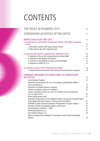# CONTENTS

| THE OFFICE IN NUMBERS 2013                                                                                                        | 8        |
|-----------------------------------------------------------------------------------------------------------------------------------|----------|
| SUPERVISORY ACTIVITIES OF THE OFFICE                                                                                              | 11       |
| <b>INSPECTION PLAN FOR 2013</b><br>I. General topics for specification of supervisory activities of the Office's inspectors       | 11       |
| in 2013                                                                                                                           | 11       |
| 1. Information systems with large amounts of data<br>2. Other items in the 2013 inspection plan                                   | 11<br>12 |
|                                                                                                                                   |          |
| II. Inspections from the 2012 inspection plan, completed in 2013                                                                  | 14       |
| 1. Inspection of the on-line shop operated by Internet Mall                                                                       | 14       |
| 2. Inspection at the Ministry of Transport                                                                                        | 14       |
| 3. Inspection at the Ministry of Labour and Social Affairs<br>4. Inspection at CERD ČR, s.r.o.                                    | 14<br>14 |
|                                                                                                                                   |          |
| III. Inspections started in 2013 initiated by the President                                                                       | 14       |
| 1. Penzijní společnost Komerční banky (Komerční banka pension company)                                                            | 14       |
|                                                                                                                                   |          |
| FINDINGS OBTAINED BY INSPECTORS IN SUPERVISORY                                                                                    |          |
| <b>ACTIVITIES</b>                                                                                                                 | 15       |
| <b>Czech Medical Chamber</b><br>Inspection at ZnanyLekarz Sp. z.o.o., the company operating the website                           | 15       |
| www. znamylekar.cz                                                                                                                | 15       |
| Inspection at a health insurance company                                                                                          | 18       |
| Camera surveillance systems at workplace                                                                                          | 18       |
| Camera surveillance system at a place of residence and on the premises                                                            |          |
| of a car repair service                                                                                                           | 20       |
| sKarta (social system card)                                                                                                       | 21       |
| Inspection of observance of the obligations tied to the security of personal data                                                 |          |
| in the Single Information System of Labour and Social Affairs                                                                     | 21       |
| EURODAC System (electronic database of fingerprints of asylum seekers)<br>Operation of teller and dispatch systems at ski resorts | 22<br>23 |
| Central Register of Debtors - CERD                                                                                                | 23       |
| KB Penzijní společnost, a.s.                                                                                                      | 24       |
| Pure Health & Fitness, s.r.o.                                                                                                     | 24       |
| Video recordings from meetings of a municipal council via the municipality                                                        |          |
| website                                                                                                                           | 25       |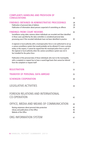#### COMPLAINTS HANDLING AND PROVISION OF CONSULTATIONS 26

| <b>FINDINGS OBTAINED IN ADMINISTRATIVE PROCEEDINGS</b><br>Publication of personal data of debtors<br>Publication of information about persons suspected of committing an offence                                                                                                                                                                                                                    | 28<br>28<br>29       |
|-----------------------------------------------------------------------------------------------------------------------------------------------------------------------------------------------------------------------------------------------------------------------------------------------------------------------------------------------------------------------------------------------------|----------------------|
| <b>FINDINGS FROM COURT REVIEWS</b><br>Surveillance using video cameras where individuals are recorded and then identified<br>in those cases specified by the data controllers is considered personal data<br>processing even if the recorded individuals have not been identified in practice                                                                                                       | 30<br>30             |
| A regional or local authority with a municipal police force is not authorised to set up<br>a camera surveillance system that would probably not be allowed if it were a private<br>entity; in this respect, it cannot be argued that the municipal police force is part of<br>the regional or local authority when the camera surveillance system was not in<br>fact installed for the police force | 31                   |
| Publication of the personal data of those individuals who turn to the municipality<br>with a complaint or request has to have a sound legal basis that cannot be inferred<br>from the complaint or request itself                                                                                                                                                                                   | 31                   |
| <b>REGISTRATION</b>                                                                                                                                                                                                                                                                                                                                                                                 | 33                   |
| <b>TRANSFER OF PERSONAL DATA ABROAD</b>                                                                                                                                                                                                                                                                                                                                                             | 35                   |
| <b>SCHENGEN COOPERATION</b>                                                                                                                                                                                                                                                                                                                                                                         | 38                   |
| <b>LEGISLATIVE ACTIVITIES</b>                                                                                                                                                                                                                                                                                                                                                                       | 39                   |
| <b>FOREIGN RELATIONS AND INTERNATIONAL</b><br><b>CO-OPERATION</b>                                                                                                                                                                                                                                                                                                                                   | 42                   |
| OFFICE, MEDIA AND MEANS OF COMMUNICATION<br>Raising awareness about personal data protection<br>Library and publications of the Office<br>Website of the Office                                                                                                                                                                                                                                     | 44<br>45<br>46<br>46 |
| ORG INFORMATION SYSTEM                                                                                                                                                                                                                                                                                                                                                                              | 47                   |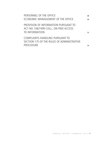| PERSONNEL OF THE OFFICE<br>ECONOMIC MANAGEMENT OF THE OFFICE                                             | 48<br>49 |
|----------------------------------------------------------------------------------------------------------|----------|
| PROVISION OF INFORMATION PURSUANT TO<br>ACT NO. 106/1999 COLL., ON FREE ACCESS<br><b>TO INFORMATION</b>  | 53       |
| <b>COMPLAINTS HANDLING PURSUANT TO</b><br>SECTION 175 OF THE RULES OF ADMINISTRATIVE<br><b>PROCEDURE</b> | 54       |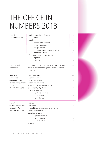# THE OFFICE IN NUMBERS 2013

| Inquiries              | inquiries in the Czech Republic                          |                |  |  |
|------------------------|----------------------------------------------------------|----------------|--|--|
| and consultations      | abroad                                                   |                |  |  |
|                        | consultations                                            | 3013           |  |  |
|                        | for state administration                                 | 126            |  |  |
|                        | for local governments                                    | 195            |  |  |
|                        | for legal persons                                        | 532            |  |  |
|                        | for natural persons operating a business                 | 298            |  |  |
|                        | for natural persons                                      | 1863           |  |  |
|                        | of the total number of consultations                     |                |  |  |
|                        | in person                                                | 235            |  |  |
|                        | in writing                                               | 2778           |  |  |
| Requests and           | instigations received pursuant to Act No. 101/2000 Coll. | 1336           |  |  |
| complaints             | complaints referred to inspection of administrative      |                |  |  |
|                        | procedure                                                | 139            |  |  |
| Unsolicited            | total instigations                                       | 7428           |  |  |
| commercial             | instigations resolved                                    | 5463           |  |  |
| communications         | inspections initiated                                    | 90             |  |  |
| (competence pursuant   | inspections completed                                    | 91             |  |  |
| to Act                 | administrative decisions on a fine                       | 33             |  |  |
| No. 480/2004 Coll.)    | challenged by objections                                 | 8              |  |  |
|                        | objections accepted                                      | 1              |  |  |
|                        | objections dismissed                                     | 5              |  |  |
|                        | mostly accepted                                          | 0              |  |  |
|                        | mostly dismissed                                         | 1              |  |  |
| Inspections            | initiated                                                | 90             |  |  |
| (excluding inspections | completed                                                | 74             |  |  |
| concerning Act         | referred to other governmental authorities               | 0              |  |  |
| No. 480/2004 Coll.)    | challenged by objections                                 | 15             |  |  |
|                        | objections accepted                                      | 1              |  |  |
|                        | objections dismissed                                     | 11             |  |  |
|                        | mostly accepted                                          | 3              |  |  |
|                        | mostly dismissed                                         | $\overline{4}$ |  |  |
|                        | analyses                                                 | 11             |  |  |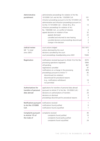| Administrative         | adminsitrative proceedings for violation of Act No.       |                |
|------------------------|-----------------------------------------------------------|----------------|
| punishment             | 101/2000 Coll. and Act No. 133/2000 Coll.                 | 101            |
|                        | infraction proceedings pursuant to Act No.101/2000 Coll.  | 18             |
|                        | administrative and infraction proceedings pursuant to     |                |
|                        | Act No.13 101/2000 Coll. - Article 44 a, 45 a             | 13             |
|                        | infraction proceedings for violation of Act               |                |
|                        | No. 159/2006 Coll., on conflict of interests              | 0              |
|                        | appeal decisions on violation of law                      | 32             |
|                        | appeals dismissed                                         | 23<br>3        |
|                        | cancelled and returned to new hearing                     | $\overline{2}$ |
|                        | cancelled decisions and proceedings discontinued          | 3              |
|                        | change in the decision                                    |                |
| Judicial review        | court actions lodged                                      | 18 (118*)      |
| NB: * in total         | actions dismissed by the court                            | 8              |
| since 2001)            | decisions cancelled by the court                          | 3              |
|                        | court proceedings closed/pending since 2001               | 74/44          |
| Registration           | notifications received (pursuant to Article 16 of Act No. | 6570           |
|                        | processing operations registered                          | 5994           |
|                        | still pending                                             | 867            |
|                        | registrations cancelled                                   | 97             |
|                        | notifications on a change in the processing               | 878            |
|                        | proceedings pursuant to Article 17                        | 85             |
|                        | discontinued (no violation)                               | 71             |
|                        | discontinued for procedural reasons                       |                |
|                        | (e.g., notifications withdrawn)                           | 19             |
|                        | not permitted                                             | 7              |
| Authorisations for     | applications for transfers of personal data abroad        |                |
| transfers of personal  | (pursuant to Article 27 of Act No. 101/2000 Coll.)        | 25             |
| data abroad            | decisions on authorisations of transfers                  | 20             |
|                        | decisions on dismissal                                    | 0              |
|                        | proceedings discontinued for procedural reasons           | $\overline{4}$ |
| Notifications pursuant | notifications received                                    | 1              |
| to Act No.127/2005     | notifications found justified                             | O              |
| Coll.                  | notifications found unjustified                           | 1              |
| Complaints pursuant    | complaints received                                       | 40             |
| to Article 175 of      | complaints found justified                                | 10             |
| the Code of            | complaints found partly justified                         | 7              |
|                        | complaints found unjustified                              | 24             |
|                        |                                                           |                |
|                        |                                                           |                |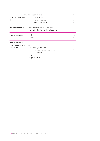| Applications pursuant   applications received |                                          |    |  |
|-----------------------------------------------|------------------------------------------|----|--|
| to Act No. 106/1999                           | fully accepted                           | 47 |  |
| Coll.                                         | partially accepted                       | 22 |  |
|                                               | applications rejected                    | 10 |  |
| Materials published                           | Office Journal (number of volumes)       | 3  |  |
|                                               | Information Bulletin (number of volumes) |    |  |
| Press conferences                             | regular                                  | 2  |  |
|                                               | ordinary                                 | Ω  |  |
| Legislative drafts                            |                                          |    |  |
| on which comments                             | laws                                     | 69 |  |
| were made                                     | implementing regulations                 | 95 |  |
|                                               | draft government regulations             | 17 |  |
|                                               | draft decrees                            | 78 |  |
|                                               | other                                    | 60 |  |
|                                               | foreign materials                        | 25 |  |
|                                               |                                          |    |  |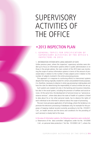# SUPERVISORY ACTIVITIES OF THE OFFICE

### •2013 INSPECTION PLAN

#### I. GENERAL TOPICS FOR SPECIFICATION OF S U P E R V I S O R Y A C T I V I T I E S O F T H E O F F I C E 'S INSPECTORS IN 2013

#### 1. INFORMATION SYSTEMS WITH LARGE AMOUNTS OF DATE

Unlike previous years, where the inspectors' supervisory activities were divided up to focus on information systems either in public administration or on those in the private sphere, the main content of the 2013 plan was monitoring the scope of various information systems in terms of the amount of processed data in relation to the number of data subjects and in relation to the number of subjects involved in the entire processing process.

This approach is in response to continuing efforts to interconnect systems despite their being originally created for certain and predetermined purposes; it is, therefore, necessary to observe in what way processing is taking place and how the rules for determining the responsibility of various entities are set up.

Such systems are created not only in the banking and insurance industries, but also in the social system, including the provision of welfare and social services. At the same time, the development of services known as "personal assistance services", where data about the state of health of a patient is linked to data about his or her other personal needs, has to observe the rights of each individual to be informed in advance about the scope of processing.

The ever more pervasive application of technology, where the tendency is to promote the electronic processing of databases only, for example for the purposes of keeping medical records (currently according to Act No. 372/2011 Coll., on health services and the terms and conditions for the providing of such services) is closely tied to this issue.

#### In the area of information systems, the following inspections were conducted:

a. Observance of the data controllers' obligations under Act No. 101/2000 Coll., on personal data protection ("Act No. 101/2000 Coll."), where the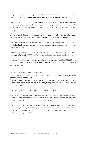inspection was focused on the processing of personal data of natural persons in connection with the operation of teller and dispatch systems operated at ski resorts.

- b. Observance of the controllers' obligations under Act No. 101/2000 Coll. in connection with the processing of personal data of power company customers, with focus on the fulfilment of the conrollers' obligations under Article 5(4) and Article 11 of Act No. 101/2000 Coll.
- c. Observance of obligations in connection with the operation of a hospital information system – protection of the patient privacy, security of electronic medical records.
- d. Processing of customer data pursuant to Act No. 101/2000 Coll. in connection with offering bank services (customer awareness, personal data security, scope of information provided to clients).
- e. Processing of personal data of eligible persons in connection with the provision of foster care benefits (Act No. 359/1999 Coll., on the social and legal protection of children).

Inspection of the processing of personal data of customers pursuant to Act No. 101/2000 Coll., in connection with an offer of fitness centre services (operation of a camera surveillance system, customer cards).

#### 2. OTHER ITEMS IN THE 2013 INSPECTION PLAN

In connection with the latest findings and experience from past supervisory activities, the Office focused on the following:

- a) Processing of the personal data of participants in training courses falling under projects and programmes in the area of state employment policy (Act No. 435/2004 Coll., on employment).
- b) Preparedness of the Czech Republic on the transition to SIS II.
- c) Observance of the obligation of responsible entities in connection with reporting the results of criminal proceedings to the trade licencing offices and accessing criminal records [Article 6(4) of Act No. 455/1991 Coll., the Trade Licence Act].
- d) Observance of the obligations under Act No. 101/2000 Coll. in connection with procedures related to processing and declassifying information on aid applicants and recipients in terms of the application of Act No. 171/2012 Coll., by which Act No. 218/2000 Coll., on budgetary rules, is amended.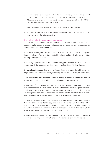- e) Conditions for processing customer data in the area of offers of goods and services, not only in the framework of Act No. 10/2000 Coll., but also in other areas in the remit of the Office related to certain information society services in accordance with Act No. 480/2004 Coll., on certain information society services.
- f) Observance of personal data protection in the processing of Schengen visas.
- g) Processing of personal data by responsible entities pursuant to Act No. 101/200 Coll., in connection with handling complaints.

#### Specifically the following inspections were conducted:

1. Observance of obligations pursuant to Act No. 101/2000 Coll. in connection with the processing and disclosure of personal data about aid applicants and beneficiaries under the State Agricultural Intervention Fund.

2. Observance of obligations pursuant Act No. 101/2000 Coll. in connection with the processing and disclosure of personal data about aid applicants and beneficiaries under the State Housing Development Fund.

3. Processing of personal data by the responsible entity pursuant to Act No. 101/2000 Coll. in connection with the complaints handling in the remit of the Czech Medical Chamber.

4. Processing of personal data of retraining participants in connection with projects and programmes in the area of state employment policy (Act No. 435/2004 Coll., on employment).

5. Observance of the obligations of the responsible entity in connection with the processing of personal data by the operator of the on-line discount portal www.skrz.cz.

6. Observance of personal data protection in the Schengen visa processing procedure by the consular departments of Czech embassies. Investigations at the consular departments of the Czech embassies in Kiev, Rabat and Belgrade. Investigations that were performed pursuant the Office´s inspection plan were based on the recommendations of a committee of experts for the Schengen assessment of member states in the area of personal data protection.

7. Investigation of the degree to which the Czech Republic is ready for the transition to SIS II. The investigation focused on the degree to which the Police of the Czech Republic is able to ensure the security of personal data processed in the national part of the Schengen Information System in connection with the migration from the Schengen Information System (SIS 1+) to the second generation Schengen Information system (SIS II).

8. Observance of the obligations of responsible entities in connection with reporting the results of criminal proceedings to the trade licencing offices and accessing criminal records.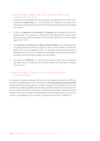#### II. INSPECTIONS FROM THE 2012 INSPECTION PLAN COMPLETED IN 2013

- 1. In the period from September 2012 to January 2013, an inspection of the "on-line shop" operated by Internet Mall, a.s. was conducted. The inspection was aimed at the processing of personal data of customers/clients making purchases through the website www.mall.cz.
- 2. In 2013, an inspection at the Ministry of Transport was completed from the 2012 inspection plan. This inspection, conducted from September 2012 to February 2013, focused on personal data processing in connection with operation of the central vehicle register (the "CVR").
- 3. The inspection at the Ministry of Labour and Social Affairs, as the responsible entity for operating the Single Information System of Labour and Social Affairs, commenced in March 2012 and was completed in 2013. The inspection was aimed at observance of obligations set out in Act No. 101/2000 Coll., specifically the security of personal data in the Single Information System of Labour and Social Affairs.
- 4. The inspection at CERD ČR, s.r.o., which also commenced in 2012, was, with regard to the large number of complaints that the Office obtained from dissatisfied individuals, moved to 2013.

#### III. IN SPECTIONS STARTED IN 2013 INITIATED BY THE PRESIDENT

In connection with publicly disclosed information and an instigation delivered to the Office on 23 July 2013 regarding access to the internal system of Penzijní společnost Komerční banky through the Internet banking system of Komerční banka and the presentation of the entire procedure via a publicly accessible video recording, reasonable concerns were raised as to whether the actions of the entities responsible for processing personal data in connection with the operation of the internal system of Penzijní společnost Komerční banky did not in fact result in a breach of the obligations of the controller or processor under Act No. 101/2000 Coll.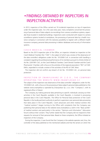### •FINDINGS OBTAINED BY INSPECTORS IN INSPECTION ACTIVITIES

In 2013, inspectors of the Office carried out 74 incidental inspections on top of inspections under the inspection plan. As is the case every year, many complaints concerned the processing of personal data of data subjects via recordings from camera surveillance systems, especially those located in residential buildings. Inspections were conducted with respect to camera surveillance systems located at workplaces, the processing of personal data by a health insurance company in connection with the statutory possibility to register with a different health insurance company, personal data processing in debtor databases and security of information systems.

#### C Z E C H M E D I C A L C H A M B E R

Based on the 2013 inspection plan of the Office, an inspector initiated an inspection at the Czech Medical Chamber (the "CMC"), the subject of which was a review of the observance of the data controller's obligations under Act No. 101/2000 Coll. in connection with handling a complaint regarding the professional performance of its members pursuant to Article 2(2)(e) of Act No. 220/1991 Coll., on the Czech Medical Chamber, Czech Dental Chamber and the Czech Pharmacists' Chamber, with a focus on the activities of the regional association ("RO") of CMC Děčín, expanded to include a review of the activities of the RO of CMC Most.

The inspection did not confirm any breach of Act No. 101/2000 Coll., on personal data protection.

#### IN SPECTION OF ZNANYLEKARZ SP. Z.O.O., THE COMPANY O P E R A T I N G T H E W E B S I T E W W W . Z N A M Y L E K A R . C Z

The subject of the inspection was observance of the data controller' obligations under Act No. 101/2000 Coll., with a focus on the processing of data subject's personal data published on the website www.znamylekar.cz operated by ZnanyLekarz Sp. z.o.o. (the "Company"), with its registered office in Poland.

The Company, by making personal data pertaining to specific individuals carrying out their activities in the Czech Republic available in the Czech Republic, is involved in processing personal data in the Czech Republic. The Office for Personal Data protection of the Czech Republic is the locally pertinent authority to perform supervision over personal data processing that takes place in the Czech Republic. Czech physicians and other medical workers (the "medical workers") began turning to the Office with complaints that the Company was publishing their personal data on the website www.znamylekar.cz, both in the "Basic profile" of medical workers and particularly in the section "Opinions and information" (discussion forum) without their consent. They further stated that the Company did not respond to their requests for removal of their personal data. Based on these complaints, the Office initiated an inspection of the Company.

During the inspection, it was found that the Company is the website operator and, thus, the controller of the data published on the mentioned website and that the servers on which the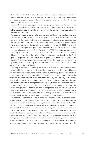data are stored are located in France. The personal data of medical workers can be posted on the website by any user who registers with the Company; such registered user can also enter comments and evaluations regarding the work of a specific medical worker in the "Opinion and information" section (discussion forum).

A medical worker can also register with the Company and create his or her own verified profile. Without registering, however, he or she cannot respond in any way to the comments made by users in respect of his or her profile, although the website operator guarantees this in its terms and conditions.

The appointed inspector performed a legal assessment of the processing of personal data of medical workers on the website www.znamylekar.cz and based her assessment on the documents that the Company published on its own website about personal data processing rules.

By processing (publishing) personal data about medical workers in the "Basic profile" section of www.znamyleakr.cz, the Company is not in violation of Act No. 101/2000 Coll., as such personal data may be processed (published) without the respective individuals' consent based on an exception under Article 5(2)(d) of Act No. 101/2000 Coll., as the personal data is obtained by the Company from public sources, i.e., namely from the database of physicians published on the website of the Institute of Health Information and Statistics of the Czech Republic. The personal data of medical workers published in the section "Opinions and information" (discussion forum), with respect to which the Company does not have a valid registration, are data published by the Company without their consent, i.e., at variance with Article 5(2) of Act No. 101/2000 Coll.

According to the findings obtained by the inspector, in four specific cases, medical workers registered with the Company and their personal data on www.znamylekar.cz are published in the "Verified profile" section. These medical workers, by registering, granted their consent to the company to process their personal data on www.znamylekar.cz, i.e., the agreed to the terms and conditions set out in the documents issued by the Company. Subsequently, however, all four revoked in writing their consent to the processing of their personal data and submitted their decisions in writing to the Company and, in compliance with the Company's terms and conditions, requested that their records be removed from the database. The declared non-agreement with the publication of their personal data, including the request to remove any records from the database, is considered a revocation of consent with the processing of personal data, and ZnanyLekarz Sp. z.o.o. is obliged to remove such data not only in compliance with the law, but also according to its own terms and conditions.

The appointed inspector also observed that if the Company, as the provider of electronic services, learns about the unlawful nature of any stored information, it is obliged to address the situation immediately, as this obligation is stipulated in Article 5(1)(b) of Act No. 480/2004 Coll., on certain information society services. Specifically, it has to take any and all measures to remove or block information of an unlawful nature. In any case, if the provider is warned in a credible manner about the possibility of unlawful information being stored on its website, it is at least obliged to block such information to all users and review its content and the objections against its publication. If its finds the objections to be justified or demonstrable, it is obliged to remove such information. The only exception where the operator is entitled to retain the information is the protection of its rights and its legally protected interests in resulting proceedings; in such case, however, the operator must always ensure that the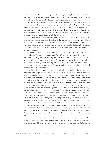personal data are not available to the public. This means, for example, the retention of data for the needs of the law enforcement authorities should it be suspected that a crime was committed or in the case of a legal dispute regarding damage compensation etc.

If a medical worker is still interested in resolving the matter through the courts even after his or her personal data are removed, and thereby having the possibility to prove that the data published was entered by a different user and was of an unlawful nature and that by the publication of such data his or her personal rights were violated, the company is obliged to keep an exact record of data of registered individuals (users) so that it can provide such data to the user upon his or her request in the event of a civil law suit.

The appointed inspector also stipulated corrective measures to be adopted by the company: to refrain from processing personal data of medical workers on its website www.znamylekar.cz without their consent and to remove the personal data of medical workers published on www.znamylekar.cz (i.e., the personal data of medical workers who filed complaints with the Office and whose data are specified in the inspection protocol), with the deadline for doing so being without delay.

In the written response sent to the Office by the Company, the Company argued that the Polish Office for Personal Data Protection ("GIODO") had jurisdiction and that it found that the databases managed by the Company are reported to it and that the inspection conducted by it showed that the data managed by the Company are processed duly and in compliance with the law. According to the Company, the personal data were obtained from the Internet, where they are widely available. In the Company's opinion, it is not possible to territorially restrict media such as the Internet.

As the Office has the powers of a central administrative authority for personal data protection in the scope stipulated by Act No. 101/2000 Coll. in the Czech Republic, it does not have the possibility to exercise its powers and enforce corrective measures on an entity that falls under the jurisdiction of the Polish Republic and, thus, the scope of the inspection was limited.

The above-described steps taken by the Office for Personal Data Protection, including the initiation of an inspection of a company that is headquartered abroad but, as a data controller, processes personal data in the Czech Republic, are without precedent. It is specifically for this reason that the objective of the Office is to present this issue and, if possible, enforce the protection of personal data of data subjects (in this case, Czech physicians), whose personal data on the Company's website www.znamylekar.cz in the "Opinion and information" section (discussion forum) are processed without consent, i.e., at variance with Czech law. A review of this case by European data protectors may help find a solution to one unresolved issue (known as "one-stop shop"), which is being discussed as part of the European regulation being drafted to replace Regulation 95/46/EC.

The above steps being taken by the Office, however, do not preclude the possibility of the Czech physicians whose data are being processed on www.znamylekar.cz without their consent turning to the Czech courts with a civil law suit on the protection of personality and demand that the Company not only remove their personal data from the website but also compensate them.

The Office continues to defend the following opinion published on 15 July 2013 on www.uoou.cz in the column Supervisory activities/Control activities of inspectors: The issue of enforcing one's rights to the protection of private and family life should a website operator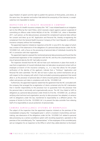argue freedom of speech and the right to publish the opinions of third parties, and where, at the same time, the operator and author hide behind the anonymity of the Internet, is complicated but not impossible to resolve.

#### IN SPECTION AT A HEALTH IN SURANCE COMPANY

An inspection of a health insurance company (the "HIC") was initiated based on an instigation sent to the Office by the Czech Police, which received a report against a person suspected of committing an offence under Article 44(2)(e) of Act No. 101/2000 Coll., when in November 2011, such person, as the data processor, processed the complainant's personal data without her consent and drew up an HIC Application and Personal File, thereby re-registering the complainant from the General Health Insurance Company of the Czech Republic to a different insurance company without her knowledge.

The appointed inspector initiated an inspection at the HIC in June 2013, the subject of which was a review of the observance of the obligations of a personal data processor under Act No. 101/2000 Coll., with a focus on the processing of personal data of individuals insured by the HIC in connection with their registration.

The appointed inspector assessed the mentioned personal data processing and found that the unauthorised registration of the complainant with the HIC and thus the unauthorised processing of personal data by the HIC had really occurred.

The inspection showed that the HIC did not have such mechanisms in place that would, in case that re-registration of insured individuals does not take place via personal contact with an employee at branch of the insurance company, i.e., in a way that allows for the proper verification of the identity of the applicant, indicate that a "fictitious" Application and Personal File were submitted. The HIC did not have in place any control mechanisms set up with respect to the company with which it had concluded a processing agreement that would allow it, as the processor of personal data of clients (insured parties) and potential clients, to collect and process such data in compliance with Act No. 101/2000 Coll.

Furthermore, the appointed inspector stated that the agreement that the HIC concluded with the company that arranged the re-registration of clients contained only the HIC's declaration that it transfer responsibility to the processor but no guarantee from the processor that the personal data is technically and organisationally secure. The HIC thus failed to fulfil its obligations as a personal data processor under Article 6 of Act No. 101/2000 Coll., as without verifying what technical and organisation security its data processor has adopted, at variance with its obligations under the law, transferred its responsibility to a different person. The purpose of Article 6 of Act No. 101/2000 Coll. is to prevent the data controller from relieving itself of its responsibility to secure protection of personal data.

#### CAMERA SURVEILLANCE SYSTEMS AT WORKPLACE

The subject of the inspection that the appointed inspector initiated on the premises of the investiateded company (the "investigated party"), which is involved in locksmithery and toolmaking, was observance of the obligations under Act No. 101/2000 Coll. related to personal data processing via a camera surveillance system with recording equipment, operated on the premises of the controlled party. The "representatives" of the employees of the controlled party sent an instigation for an inspection to the Office in which they called attention to the breach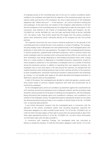of employee privacy at the controlled party due to the use of a camera surveillance system installed at the workplace and stated that the objective of the monitoring system was not to improve safety and security at the workplace, but only to place pressure on the employees (telephone calls "Where were you?" - "In the restroom", etc.) and to instil fear in existing and new employees. At the same time, the initiators of the instigation called attention to the fact that the workplaces of the controlled party are not categorised as high-risk work places. In this connection, they referred to the Charter of Fundamental Rights and Freedoms, Act No. 101/2000 Coll., Act No. 40/1964 Coll., the Civil Code, and Article 316(2) of Act No. 262/2009 Coll., the Labour Code. They further stated that the images from the camera surveillance system were watched by certain individuals directly at the company but also from private premises.

The inspection found that the case concerns industrial production on the grounds of the controlled party that is entirely fenced in and comprises a number of buildings. The investigated party employs close to 80 people who work predominantly in the investigated party's own production in three-shifts (non-stop operations). The subject of the investigated party's business is machine production, predominantly small-batch production, which in practice means that certain employees need not necessary work continuously (during a shift) on one machine, and their workstation may change depending on technological procedures when work is being done on a certain product or depending on immediate production requirements. Except for minor exceptions, production is not automated, so employees work on a number of machines during the production process. In addition to operating their own respective machines, the employees may or must move about in the area around the machines, for example from the material storeroom (semi-finished products), back to their machines and then to the storeroom to store completed parts. Should the machines be misused or material stored in the workshops go missing, it is not possible with regard to the above-described technological procedure to determine a specific party as the perpetrator.

In light of the above, the investigated party decided to install and operate a camera surveillance system based on previous negative experience with theft and unauthorised use of machines by employees.

As the investigated party carries out surveillance as prevention against the unauthorised use of its machines and technical equipment and to safeguard material, and the recordings made should be used exclusively for the purpose of clarifying any transgressions, with the employees being informed by their employer about such surveillance in advance, such surveillance is not a breach of the employees' privacy. The appointed inspector assessed the situation as one where the aforementioned processing of data is not a violation of Article 5(2)(e) of Act No. 101/2000 Coll., on personal data protection.

It was further discovered, however, that the investigated party, in connection with the operation of the camera surveillance system with recording equipment, breached the information obligation of a data controller [under Article 11(1) of Act No. 101/2000 Coll.], as it did not inform the data subjects of their right to access their own personal data or about their other rights stipulated by Article 21 of Act No. 101/2000 Coll., nor did it inform third parties via information signs who the data controller is.

In connection with inspection findings, the investigated party was instructed as follows to remedy the situation: To fulfil the information obligation under Article 11(1) of Act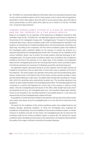No. 101/2000 Coll. and provide additional information about who processes the persons data via the camera surveillance system and for what purpose; and to amend internal regulations, specifically to inform data subjects about the right to access personal data, about the right to correct personal data, as well as about other rights set out in Article 21 of Act No. 101/2000 Coll., on personal data protection.

#### CAMERA SURVEILLANCE SYSTEM AT A PLACE OF RESIDENCE AND ON THE PREMISES OF A CAR REPAIR SERVICE

Based on an instigation for an inspection of the observance of obligations imposed on data controllers under Act No. 101/2000 Coll., the appointed inspector commenced an inspection at the premises of the investigated company (the "investigated party") focused on the processing of personal data using a camera surveillance system with recording equipment operated in two locations: on the premises of a residential building and on commercial premises, specifically a car repair shop. According to the complainant, the first camera surveillance system was installed at the investigated party's residential address for the purpose of monitor the entrance to a restaurant operated by the investigated party's former wife. The reason for the installation of the camera installation system was to protect the private property (vehicles) belonging to the i nvestigated party. The second camera surveillance system was, according to the complainant, installed on the front of the premises of a car repair shop. In the complaint, the complainant states that the investigated party shows the recordings taken by the camera surveillance system to his friends and checks the movement of individuals around the mentioned restaurant.

The appointed inspector discovered during an on-site inspection that the eight cameras are installed on the premises of the car repair shop, of which seven were in operation at the time of the inspection. The camera system was operated continuously, with the recording being activated by a motion sensor in the field of vision of the camera, and the cameras recorded in colour and had infrared lighting for night vision. The digital video-recorder kept recordings for 14 days, after which the recordings were automatically recorded over. The recording equipment was stored in an open credenza located in the investigated party's office. The recording equipment was connected to a monitor that displayed the current view of the cameras in ordinary on-line regime. Only the investigated party had access to the office; other people had access only if accompanied by him (e.g., the investigated party's son, who sometime helped repair vehicles). Access to the recording in the recording equipment was possible based on a user name and password that only the investigated party created and knew.

No guidelines or similar documents related to the operation and security of the camera surveillance system were drawn up by the investigated party, as no one else but he had access to the equipment.

The reason for the installation of the camera surveillance system was multiple break-ins and property damage, specifically vandalism, of which the investigated party suspected the complainant of perpetrating. Since the installation of the camera surveillance system, no further instances of vandalism occurred; for this reason, the investigated party did not hand over the recordings made by the camera surveillance system to anyone else. By viewing the camera urveillance system recordings and during the on-line transmission, the inspection discovered that the quality of the image is sufficient to identify the recorded individuals.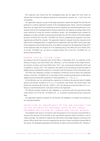The inspection also found that the investigated party did not speak the truth when he claimed that he leased the adjacent parking lot monitored by cameras nos. 1 and 2 from the municipality.

The appointed inspector, as part of the legal assessment, stated that despite the fact that the parking lot is used by significant number of the investigated party's clients, and the investigated party thus can argue that he is protecting his client's property, the mentioned parking lot is not reserved only for the investigated party's business operations. By keeping recordings made of the entire parking lot using the camera surveillance system, the investigated party violated his obligation as a data controller to process personal data only with the consent of the data subjects pursuant to Article 5(2) of Act No. 101/2000 Coll. Prior to completing the inspection, the investigated party rectified the situation. The appointed inspector imposed corrective measures to be taken by the investigated party: to supplement the registration with the Office within seven days of this inspection protocol becoming final, as he failed to arrange from the beginning of May 2013 to the inspection date of 6 August 2013 his reporting duty to the Office set out in Article 16(1) of Act No. 101/2000 Coll., by which he violated Article 16(1) of Act No. 101/2000 Coll., on personal data protection.

#### S K A R T A ( S O C I A L S Y S T E M C A R D )

According to the 2012 inspection plan of the Office, in November 2012, an inspection at the Ministry of Labour and Social Affairs (the "Ministry"), as the controller of the Single Information System of Labour and Social Affairs (the "SIS"), was commenced in November 2012 and completed in January 2013. The inspection was aimed at the processing of personal data of eligible persons and benefit recipients in connection with the issuance of the social system card.

The Office also obtained a number of instigations containing concerns about the suspected violation of Act No. 101/2000 Coll. for the reason of the unauthorised disclosure of data about eligible persons and benefit recipients to Česká spořitelna, a.s. ("ČS, a.s.").

As the Ministry was not authorised by a special act to disclose the personal data of eligible persons and benefit recipients to ČS, a.s. in connection with sKarta, the social system card [Article 4a and Article 4b of Act No. 73/2011 Coll.], the disclosure of personal data to ČS, a.s., being an unauthorised person, took place without any legal basis.

The Ministry thereby violated its own obligation in connection with securing personal data under Article 13(1) of Act No. 101/2000 Coll., i.e., to prevent unauthorised access to personal data.

The appointed inspector imposed on the Ministry the obligation to remedy the situation by the stipulated deadline.

#### IN SPECTION OF OBSERVANCE OF THE OBLIGATIONS TIED TO THE SECURITY OF PERSONAL DATA IN THE SINGLE IN FORMATION SYSTEM OF LABOUR AND SOCIAL AFFAIRS

The problems that arose in connection with the payment of non-insurance social benefits in January 2012 because of the transfer to the new benefit payment systems resulted in a lot of media coverage. The statement made by the information technology designers working at the Labour Offices about their concerns regarding the security of data contributed substantially to the uproar. The databases operated by the Ministry of Labour and Social Affairs (the "Ministry")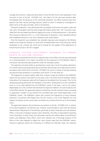manage the economic, media and social data of more the half of the Czech population. From the point of view of Act No. 101/2000 Coll., such data is for the most part sensitive data. Immediately after the disclosure of the mentioned statement, the Office received seven instigations from both natural and legal persons, based on which it initiated an investigation in March 2012 at the data controller, which is the Ministry.

During the inspection, it was discovered that two people could access the system under one user name. The problem with the entire Single Information System (the "SIS") was that it operated from the very beginning without logging the access of authorised persons. In the period from January to February 2012, i.e., in the initial phase of operation, it even operated without each employee having his or her own individual access authorisation.

Once the inspection was completed, two remedial measures were imposed on the Ministry based on the inspection findings: to cancel with immediate effect the e-mail instruction asking employees to use a shared user name and to arrange for the supplier of the applications to ensure that all access to the SIS is logged.

#### EURODAC SYSTEM (ELECTRONIC DATABASE OF FINGER-PRINTS OF ASYLUM SEEKERS)

The inspection stemmed from the 2013 inspection plan of the Office and was executed based on a recommendation of an expert committee for the assessment of the Member States in connection with personal data protection under the Schengen system.

The inspections focused chiefly on ascertaining in what way, if at all, the system administrator controls that the processed personal and sensitive data are kept up-to-date and accurate in accordance with Article 5(1)(c) of Act No. 101/2000 Coll. and on a review of security measures and personal data protection in accordance with Article 13 of the same act.

The fingerprints of asylum seekers older than 14 years of age are entered in the EURODAC system and are stored in the system for ten years; only in the event that the foreigner obtains citizenship of the respective state will the fingerprints be deleted from the system. Prior to the dactyloscopy being performed, the foreigner is informed in writing that he or she is entitled to have his or her data deleted from the EURODAC system if the data is sent to the system illegitimately; he or she is further informed that the request for deletion of incorrect data be sent to the Office directly. The appointed inspector checked ten records randomly chosen according to registration numbers to see whether the controlled data were stored legitimately in the EURODAC system. The EURODAC system also contains the fingerprints of every foreigner detained in connection with illegal entry into the country; in the Czech Republic this only happens at airports as this country does not border any countries that are not in the European Union.

The appointed inspector did not discover any violation of Act No. 101/2000 Coll.; in relation to the above legislation, the Ministry was, however, recommended to work with the General Administration Department of the Ministry, specifically its State Citizenship and Vital Statistics Office, in the event a foreigner receives Czech citizenship. This office is responsible for granting Czech citizenship; in other words, this information may be sent without delay to the Ministry's Asylum and Migration Policy Office, which then requests the Criminology Institute of the Police of the Czech Republic to delete the Czech citizen's data from the EURODAC system. Should an applicant obtain the citizenship of a different EU Member State, the inspector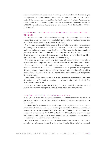recommends taking international action to exchange such information, which is necessary for storing exact and complete information in the EURODAC system. At the end of the inspection protocol, the inspector recommended that the Ministry work with the Police Presidium of the Czech Republic to adopt internal supervision system regarding to authorisation to access the EURODAC system to ensure observance of the conditions of Article 13 of Act No. 101/2000 Coll. (logging).

#### O P E R A T I ON O F T E LLER AND DISPATCH SYSTEMS AT SKI R E S O R T S

The control system checks children's tickets without any further processing of personal data, seasonal tickets issued in the name of a specific holder with further processing of personal data and other tickets without further processing personal data.

The Company processes its clients' personal data in the following extent: name, surname and photograph of the holders of season tickets while the tickets are valid and not longer than until the end of the ski season (approx. 4 to 5 months). The reasons for the stated duration of processing personal data are client claims, client complaints and the possibility of use of the tickets by unauthorised persons. The control system is technically set up so that it is possible to ascertain the unauthorised use of a seasonal ticket retroactively.

The inspection conclusion stated that the period of processing the photographs of ticket holders and other personal data is commensurate with the above-mentioned reasons.

The inspection found that clients of the Company are not informed in accordance with Article 11(1) of Act No. 101/2000 Coll., about the scope and purpose for which the personal data are processed or who the data controller is; information about the rights of data subjects under Article 21 of Act No. 101/2000 Coll. in connection with the processing of their personal data is also missing.

The inspection found that the company, as at the date of commencement of the inspection, did not inform the Office that it is processing personal data, thereby violating Article 16 of the Personal Data Protection Act.

These two violations of Act No. 101/2000 Coll. were resolved by the imposition of corrective measures on the inspected company in the various inspection protocols.

#### CENTRAL REGISTER OF DEBTORS - CERD

In 2013, the Office also focused on the operator of the CERD debtor database. The reason was not only the number of complaints and instigations, but also the interest shown by the public and the media.

The inspection found that the inspecteded party was only the processor – the data controller is headquartered in the USA. The appointed inspector stated that obligations connection to personal data processing under Article 5(1)(d) and Article 21(1) of Act No. 101/2000 Coll. were breached. In compliance with Article 40(1) of Act No. 101/2000 Coll., after taking into account the inspection findings, the inspected entity was imposed corrective measures, including the obligation to inform the Office of their fulfilment.

At the same time, the inspection protocol contained recommendations for the inspected entity to improve the comprehensibility of the services offered and to avoid further complaints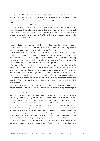addressed to the Office. The complaints chiefly concerned the publication of false or incomplete and inaccurate personal data. Communication with the above processor is also poor: Data subjects are unable to arrange for the deletion of illegitimately processed or inaccurate personal data.

With regard to the fact that the Office is assigned certain powers under the law for processing personal data in the Czech Republic and in places where Czech laws can be enforced under international law and European standards of personal data protection can be guaranteed, the Office has no possibility of exercising its powers on or demand corrective measures from an entity falling under the jurisdiction of the USA and, thus, the inspection could only be conducted to a limited degree.

#### K B P E N Z I J N Í S P O L E Č N O S T, A . S .

In mid-20013, the media reported on a leak of personal data from the database operated by Komerční banka, a.s. (the leak did not concern personal data from a database run by Komerční bank, a.s. but from a database run by KB Penzijní společnost, a.s.).

The inspection discovered a breach of the obligations under Article 13(1) of Act No. 101/2000 Coll. As the investigated party stated already at the time of the inspection that it had added control mechanisms to the defective application that ensure proper user authorisation in a way that prevents the generation of a defective link, thereby ensuring verification of access to the website in the application, no corrective measures were imposed.

The case is a flagrant example of the risk of modern communication based on use of the Internet. This was not a hacker attack on the security system of the bank – this was an error in an application that should have prevented unauthorised access to the system. The investigated entity did not discover an error during control tests and the system could have continued operating in this way for a much longer time if a client had not informed the bank of the problem.

The inspection found that the data controller failed to sufficiently secure the stored personal data. The software that should have protected the data contained an error and allowed the leak of information.

With regard to the above, the appointed inspector stated that he considers the obligation on the part of the data controller to perform an internal risk assessment to be a justifiable request.

#### PURE HEALTH & FITNESS, S.R.O.

The inspection found that many of the obligations under Article 5(1)(d) and (e) and (2), Article 11(1) and (2), Article 13(1), (3) and (4), Article 16(1) and Article 20(1) of Act No. 101/2000 Coll. were breached. Ten corrective measures were imposed on the investigated party, including the following obligations: to modify the paper version of Pure Club membership application form; to amend the *Guidelines for processing personal data for PURE club members*; and to modify the technical and organisational measures concerning the retention of records from the camera surveillance system or improve the way clients are informed about the installation of the camera surveillance system in the fitness rooms. The inspection findings showed that the fitness operator highly underestimated the issue of privacy protection. With regard to the number of clients of the investigated company, this was a relatively serious finding.

An overall assessment of the case, however, also shows carelessness on the part of the data subjects, as they provided even non-mandatory data without any effort to find out the purpose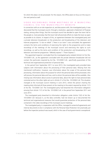for which this data is to be processed. For this reason, the Office plans to focus on this issue in the next period as well.

#### VIDEO RECORDINGS FROM MEETINGS OF A MUNICIPAL COUNCIL VIA THE MUNICIPALITY WEBSITE

In connection with an on-site inspection at, and discussions with, the investigated party, it was discovered that the municipal council, through a resolution, approved a Statement of Purpose stating, among other things, that the municipal council has decided to open the town hall to the people or, more precisely, that the town hall will promote efforts to make the town as open as possible to its citizens. In respect of this, an agreement between the investigated party and a private television broadcaster on the production and broadcasting of the television and Internet programme "U nás ve městě" ("Here in our town") was concluded; the agreement contains the terms and conditions of exercising the rights to the programme and to make recordings of the meetings of the municipal council and exercising the rights to such recordings, as well as the terms and condition of the production and broadcasting of the television and Internet programme "Městský express" ("Town Express").

The appointed inspector concluded that the investigated party violated Article 6 of Act No. 101/2000 Coll., as the agreement concluded with the private television broadcaster did not contain the particulars required by Act No. 101/2000 Coll., specifically guarantees of the technical and organisational protection of personal data.

In the period from September 2011 to June 2013, the investigated party provided data subjects with information about the processing of their personal data. Missing from the mentioned notification, however, was information about the scope of the personal data processing, information about the purpose for which the personal data will be processed, who will process the personal data and how, and to whom the personal data will be available. Also missing was information about access to personal data, about the right to have personal data corrected and on the other rights set out in Article 21 of Act No. 101/2000 Coll. This situation changed at the municipal council meeting in June 2013, where the person chairing the meeting duly informed all those present at the meeting to the extent required by Article 11(1) of Act No. 101/2000 Coll. The investigated party had breached the information obligation ensuing from Article 11(1) of Act No. 101/2000 Coll. in the period from September 2011 and June 2013.

The investigated party breached its information obligation under Article 13(2) of Act No. 101/2000 Coll. because it, as the data controller, had not drawn up or documented the technical and organisational measures that would guarantee protection of the personal data contained in the video-recordings of the municipal council meetings.

The investigated party, in cooperation with the Office, managed to amend all agreements and internal documents to be in compliance with the Personal Data Protection Act practically just before the inspection protocol was issued, which in the case of local governments is exceptional.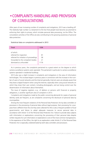### • COMPLAINTS HANDLING AND PROVISION OF CONSULTATIONS

After years of ever increasing number of complaints and instigations, 2013 saw a levelling off. The relatively high number is a testament to the fact that people have become accustomed to enforcing their rights to privacy, which includes personal data processing, via the Office. The consultation activities of the Office are also contributing to the growing awareness of personal data protection.

#### Statistical data on complaints addressed in 2013

| <b>Total</b>                                                                                                                                  | 1336                   |
|-----------------------------------------------------------------------------------------------------------------------------------------------|------------------------|
| of which:<br>referred for inspection<br>referred for initiation of proceedings<br>forwarded to the competent bodies<br>dismissed as unfounded | 81<br>58<br>21<br>1176 |
|                                                                                                                                               |                        |

As in previous years, the complaints pertained to a great extent on the degree to which camera surveillance systems were operated. This pertained in particular to camera surveillance systems operated in residential buildings.

2013 also saw a slight increase in complaints and instigations in the area of information technologies. This increase began in previous years in connection with the increase in the number of users of social networks and the Internet generally. Internet users are already aware that they leave a digital footprint when using the Internet, especially when using social networks on which they share their user content, including photographs, and are losing control over the dissemination of information about themselves.

The issue of negative registers, e.g., of debtors or persons with financial or property obligations, is another significant area of complaint in 2013.

Complaints and instigations made by the public concerning demands for copies of personal identity cards are frequent, as are complaints concerning the disclosure of personal data by municipalities.

Among the most frequent violations of the Personal Data Protection Act by data controllers or processors is the processing of personal data without legal purpose, their processing for a purpose that is different than the one they were collected for (this is also a frequent problem of local governments), and failure to adopt adequate measures to secure personal data in accordance with Article 13 of the Personal Data Protection Act. Failure to provide data subjects with information or explanations concerning the processing of their personal data despite written requests for such information or explanations is one of the most common transgressions. In the experience of the Office, the right to an explanation under Article 21 of the Personal Data Protection Act is especially underestimated by both data controllers and processors.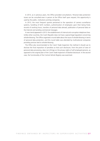In 2013, as in previous years, the Office provided consultations. Personal data protection issues can be consulted even in person at the Office itself upon request; this opportunity is used by the public, institutions and big companies.

In 2013, the most frequent queries pertained to the operation of camera surveillance systems, handling of birth numbers, authentication of employees upon their being hired, records of working hours, transfers of personal data abroad, publication of personal data on the Internet and sending commercial messages.

A new trend appeared in 2013: the establishment of internal anti-corruption telephone lines. Unlike other countries, the Czech Republic does not have a special legal regulation concerning whistle-blowing. The Office organised a round table about the issue of whistle-blowing in terms of personal data protection, and this round table was attended by multinational companies providing services tied to whistle-blowing.

The Office also recommended to the Czech Trade Inspection the method it should use to disclose the final imposition of penalties so that such disclosure, from the point of view of personal data processing, does not infringe on the privacy rights of self-employed persons, as opposed to the original plan of the Czech Trade Inspection of blanket disclosure. In the second case, the functionality of the Central Vehicle Registry was examined.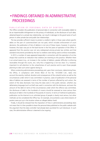### •FINDINGS OBTAINED IN ADMINISTRATIVE PROCEEDINGS

#### PUBLICATION OF PERSONAL DATA OF DEBTORS

*The Office considers the publication of personal data in connection with receivables (debt) to be an impermissible infringement on the privacy of individuals, as the disclosure of such data, obtained based on a private law relationship, can result in damage to the good name of such person in other private law and public law relationships.*

The law provides sufficient means to protect a creditor's rights in those cases where specific debts on the part of customers/client are not paid, which includes enforcement of court decisions; the publication of lists of debtors is not one of these means, however. In practice, however, this topic was put on the back-burner in the first years of operation of the Office. It appeared that this practice was not very widespread among private law entities and that standard instruments provided by the law to creditors were being used to enforce receivables.

In 2013, a number of cases appeared (especially in connection with the operation of on-line shops) that could be an indication that creditors are reverting to this practice. Whether there is an actual reason (e.g., an increase in the number of debtors, greater difficulty in enforcing receivables through the courts, etc.) why this is happening is not too clear. It is, however, important to call attention to the unlawfulness of such practice and to warn those people planning to take such action against doing so.

When conducting administrative proceedings and, upon their conclusion, determining fines, the Office, in compliance with Article 46(2) of Act No. 101/2000 Coll., takes into account the severity, method, duration and consequences of the unlawful action as well as the circumstances under which it was committed. In practice, cases of publication of the personal data of debtors are assessed in terms of the number of persons affected by such action, the extent of the data disclosed, how long the data were in the public domain, whether any defamatory language (such as thief) was used in connection with the disclosure, and even the amount of the debt (in terms of the circumstances under which the offence was committed, the disclosure of debt in the hundreds of crowns should be assessed as more serious than disclosure of debt in the hundreds of thousands of crowns). In terms of method of publication, publication via the Internet to an unlimited group of people is clearly most serious, but other methods can be considered (the Office has, for example, encountered a case where dozens of posters were put up in the location where an alleged debtor lived).

Finally, it should be stressed that the imposition of fines in administrative proceedings does not mean that it is then possible to leave the personal data published on the public website with the argument that the data controller had already been punished for such disclosure. In such case, the administrative offence is deemed to be ongoing.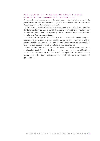#### PUBLICATION OF INFORMATION ABOUT PERSONS SUSPECTED OF COMMITTING AN OFFENCE

A very contentious topic in terms of the public occurred in 2013 when a municipality published the personal data of individuals suspected of committing an offence on its website. A specific type of blacklist was created as a result.

In the inspection, the Office first stated that there are no legal regulations that would address the disclosure of personal data of individuals suspected of committing offences being dealt with by municipalities; therefore, the general provisions on personal data processing contained in the Personal Data Protection Act apply.

The claim that this approach is an effort to make the activities of the municipality more transparent is not acceptable, as municipalities are obliged even in connection with the publication of information on enforcement of the public funds for which it is responsible to observe all legal regulations, including the Personal Data Protection Act.

It should also be added that the publication of personal data on the Internet results in the creation of electronic footprints that link to the data subject, and these are difficult if not impossible to eradicate entirely. Furthermore, information published on the Internet can be accessed by an unlimited number of people, and so the dissemination of such information is quick and easy.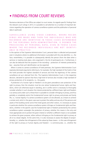### • FINDINGS FROM COURT REVIEWS

Numerous decisions of the Office are subject to court review. As regards specific findings from the relevant court rulings in 2013, it is possible to call attention to a number of important decisions regarding the operation of camera surveillance systems and the publication of personal data in particular.

SURVEILLANCE USING VIDEO CAMERAS, WHERE RECOR-DINGS ARE MADE AND THEN THE INDIVIDUALS WHO ARE R E CORDED ARE IDENTIFIED IN THOSE CASES DETERMINED BY THE PERSONAL DATA ADMINISTRATION, IS DEEMED THE P R O C E S S I N G O F P E R S O N A L D A T A , E V E N I N T H O S E C A S E S WHERE THE RECORDED INDIVIDUALS ARE NOT IDENTIFI-A B L E IN PRACTICE

In the opinion of the Supreme Administrative Court, personal data is collected and processed even in situations where no additional information is provided with the only identifier, i.e., the face; nevertheless, it is possible to subsequently identify the person (from the date when a seminar or meeting took place, who organised it, the list of participants etc.). Furthermore, it can also be deduced that the purpose of the recording – protection of interests protected by law – assumes that such identification can be expected.

When it comes to camera surveillance of hotel premises, the Supreme Administrative Court expressly dismissed arguments referring to, for example, the high standard of the hotel or that the hotel provides the highest standard of services and that the legitimacy of the camera surveillance set up is derived from this. The Supreme Administrative Court, in the respective decision, declared its opinion that that a high level of services also includes a high standard of privacy protection of its recipients, i.e., the guests.

If protection of a human right or freedom is to be given precedence over protection of the right to privacy, then the situation must be one where fundamental human rights and freedoms, which are otherwise equal in standing, are in conflict and it is necessary to thoroughly consider whether in such situation the interest protected by a different basic right and freedom is so serious and under such a threat that it is possible to consider infringing on privacy, and thus partially or completely restrict the fundamental human right to privacy and private and family life, i.e., human dignity. If a camera surveillance system is to be allowed, as a means to achieve a certain end, which in the given case was to protect the safety and security of the persons and assets of the building owner and of the hotel guests and other visitors, it is necessary to assess in particular whether this camera surveillance system infringes on fundamental rights and freedoms, whether in the specific case the fundamental right or freedom protected by the camera surveillance system outweighs the protection of privacy, whether this means is the only and most appropriate one to protect the given interest or whether a different means is not available to achieve the given purpose, either without infringing on the fundamental right to privacy at all or to a lesser degree. At the same time, it is also necessary to assess the degree of proportionality, i.e., whether the infringement of the values by these means – in this case infringement of the right to privacy or human dignity and freedom – is commensurate, i.e., whether the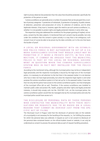right to privacy deserves less protection than the value that should be protected, specifically the protection of the person or asset.

Camera surveillance can generally serve a number of purposes that can be grouped into a number of primary categories: 1) protection of individuals, 2) protection of property, 3) public interest, 4) detection, prevention and prosecution of crime, 5) collection of evidence, and 6) other legitimate interests. A key issue is, however, again the need to use such camera surveillance, i.e., whether it is not possible to protect rights and legally protected interests in some other way.

The respective ruling also addressed the conditions for the proper granting of implied, not express, consent by the data subjects. It mentioned that such consent may be possible, but only under the condition that this consent is given actively in a way that is not ambiguous; such consent must of course be able to be proven by the data controller, as it is the one that bears the burden of proof.

A LOCAL OR REGIONAL GOVERNMENT WITH AN ESTABLIS-HED POLICE FORCE IS NOT AUTHORISED TO SET UP A CA-MERA SURVEILLANCE SYSTEM THAT WOULD LIKELY NOT BE PERMITTED IF IT WERE A PRIVATE ENTITY; IN THIS CON-N E C T ION, IT CANNOT BE ARGUED THAT THE MUNICIPAL POLICE IS PART OF THE LOCAL OR REGIONAL GOVERN-MENT IN QUESTION WHEN THE CAMERA SURVEILLANCE SYSTEM WAS IN FACT NOT INSTALLED FOR THE POLICE F O R C E

According to the mentioned ruling, although the municipal police may not be an independent legal personality and the respective municipality is bound by the legal acts of the municipal police, it is necessary to call attention to the fact that in the assessed matter it is not decisive who has or does not have legal personality, but what the respective legal regime is and what purpose the camera surveillance system is in fact set up for. In the assessed matter, it was clear that not only did the police have access to the camera surveillance system, but that employees of the municipal office did as well. Therefore, if the camera surveillance was installed to maintain public order and protect life, health, property and other rights and legally protected interests, it should fully comply with Act No. 553/1991 Coll., on the municipal police; the camera surveillance system would then be managed only by the municipal police and only the municipal police would have access to it.

#### THE DISCLOSURE OF PERSONAL DATA OF THOSE PERSONS WHO CONTACTED THE MUNICIPALITY WITH THEIR INSTI-GATIONS OR REQUESTS HAS TO BE BASED ON A LEGAL REASON THAT CANNOT BE DERIVED JUST FROM THE SPE-CIFIC ACT OF FILING

The Municipal Court in Prague ruled that the disclosure of personal data on the website of a municipality is not necessary for the handling of the requests, i.e., for fulfilling the purpose for which the personal data was collected. A request as such is not consent to disclosure of the personal data contained therein on the official bulletin board or website; it can only be understood as consent to process the personal data as part of request handling procedure.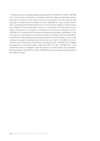The Municipal Court in Prague addressed the application of Article 8b(1) of Act No. 106/1999 Coll., on free access to information, according to which the obligor provides basic personal data about the person to who public resources were provided, with basic personal data meaning, in accordance with Article 8b(3) of Act No. 106/1999 Coll., name, surname, date of birth, municipality where the beneficiary has his or her permanent residence, and the purpose and conditions of the granted public resources. In the opinion of the Municipal Court in Prague, this provision is an exception to the general rule enshrined in Article 8a of Act No. 106/1999 Coll., according which information pertaining to personality, manifestation of fee will, privacy of a natural person and the personal data of the obligor shall only be provided in compliance with legal regulations governing the protection of such information. Thus, it is also necessary to proceed in compliance with the rules set out in Act No. 101/2000 Coll. even in connection with the disclosure of information according to Act No. 106/1999 Coll. As regards the application of the special regime under Article 8b of Act No. 106/1999 Coll., it was stressed that there is no obligation under this provision to actually disclose such information. Disclosure based on Article 5(3) of Act No. 106/1999 Coll. primarily requires the satisfaction of the respective request.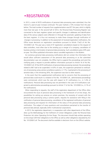### •REGISTRATION

In 2013, a total of 6570 notifications of personal data processing were submitted; thus the trend of a year-on-year increase continued. This year marked a 13% increase from the year before. The total number of requests from supplementation was 877 this year, which is slightly more than last year. In the second half of 2012, the Personal Data Processing Register was connected to the basic registers system and specific changes in addresses and identification data of the various subjects were reflected in it through the automatic updating of data from the basic registers. It is thus not necessary to make these changes through notification of changes in processing. In addition to the assessment of received registration notifications, the Office issues decisions on registration cancellation pursuant to Article 17a(2) of Act No. 101/2000 Coll. This year saw a total of 97 registration cancellations based on the request of data controllers, most often due to the winding up or merger of a company, cancellation of business activity or termination of personal data processing. Such cancellations grew 20% yearon-year. The Office published information about cancelled registration in the Bulletin.

As numerous personal data processing notifications did not contain the information that would allow sufficient assessment of the personal data processing or as the submitted documentation was not complete, the Office had to suspend the proceedings and send the notifying party a request to provide addition information pursuant to Article 16 of Act No. 101/2000 Coll. Of the 6570 notifications of personal data processing received, the proceedings related to 867 had to be suspended. In 63% of cases, the suspension pertained to notifications of processing using camera surveillance systems; in 11%, it pertained to the processing of sensitive data; in the remaining 26%, the suspension was due to other reasons.

In the event that the supplemented notifications led to concerns that the processing of personal data could result in a violation of Act No. 101/2000 Coll., administrative proceedings were commenced, which was the case with respect to 91 notifications (i.e., in 1.4% of notifications). Personal data processing was not permitted in the case of 8 notifications subjected to administrative proceedings pursuant to Article 17 of Act No. 101/2000 (i.e., 0.1% of the notifications).

When responding to requests, the staff of the registration department of the Office often encountered the issue of personal data processing in the framework of on-line shops, the possibilities for setting up cameras on certain premises, the necessity of consent with the personal data processing using a camera system, requests for assistance with filling in the notification of personal data processing, cancellation of the registered notification of personal data processing and requests for information of the status of the personal data processing notification. The subject of many questions and consultations pertained to the transfer of personal data abroad, especially within multinational corporations.

In 2013, the registration department, in cooperation with other departments of the Office, drew up the Methodology for the Fulfilment of Certain Obligations under the Personal Data Protection Act when Operating On-line Shops. This document should help entities operating on-line shops fulfil their obligations to the Office as well as other obligations stipulated by Act No. 101/2000 Coll. The document shall be available in electronic form on the Office's website.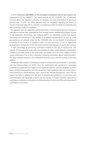In 2012, Directive 2007/66/EC of the European Parliament and of the Council was transposed by Act No. 468/2011 Coll., which amends Act No. 127/2005 Coll., on electronic communication. The regulation concerns, for example, the issue of the breach of security of personal data. In 2013, the Office obtained only one instigation regarding the breach of security of personal data, which, however, was filed by an entity to which this reporting duty does not pertain under this legislation.

It is apparent from the registration activity that there is a continuing tendency on the part of employers to monitor their employees at work through various available technologies. As part of the registration proceedings, the notifying parties are repeatedly warned that blanket monitoring and processing of the content of employee correspondence as part of e-mail processing are not allowed under Act No. 101/2000 Coll., nor are blanket monitoring and processing of the content of telephone calls. It is also necessary as part of registration proceedings to call attention to the risks tied to monitoring employees via geolocation devices.

A high percentage of processing notifications related to the use of loyalty cards. The purpose of the processing is generally the possibility to utilise certain discounts and benefits related to purchases made by the card holder, who states his or her name, address or other contact information if he or she is interested in receiving information about marketing events. The data controllers declare in the notifications that this occurs with the consent of the data subjects.

A relatively high number of notifications relate to whistle-blowing exclusively in connection with the Sorbanes-Oxley Act (SOX). Thus, the notifications only pertained to companies controlled by entities that are subject to this legislation and thus have the obligation to introduce a whistle-blowing system into their companies. Czech legislation does not contain any express provisions on whistle-blowing; only a draft of the "Whistle-blowing Act" exists. For this reason, the Office is dealing with the issue of personal data protection in connection with whistle-blowing only marginally. In 2013, the Law Faculty of Charles University organised an international conference on the topic of whistle-blowing, at which the Office also presented its contribution on this topic.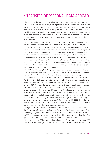### • TRANSFER OF PERSONAL DATA ABROAD

When observing the general principles of the lawful processing of personal data under Act No. 101/2000 Coll., data controllers may transfer personal data without the Office´s prior consent not only to EU Member States or countries in the European Economic Area, including Switzerland, but also to third countries with an adequate level of personal data protection. For it to be possible to transfer personal data to countries without adequate personal data protection, it is necessary to obtain authorisation from the Office in advance if such transfer is not regulated by an agreement that includes standard contractual clauses based on a decision by the European Commission.

In the authorisation proceedings, the Office reviews the specific circumstances of the transfer of the data from the Czech Republic to third countries, especially the source, scope and category of the transferred personal data, the recipient of the transferred personal data, including a list of the target countries, the purpose of the transfer and the processing period.

In the authorisation proceedings, the Office reviews the specific circumstances of the transfer of the data from the Czech Republic to third countries, especially the source, scope and category of the transferred personal data, the recipient of the transferred personal data, including a list of the target countries, the purpose of the transfer and the processing period. In addition to supplying the Czech version of the respective binding corporate rules (BCR) and the decision on their approval by the head of the supervisory body, it is therefore necessary to describe all circumstances in detail in the request.

In 2013, the Office accepted 24 requests for authorisation to transfer personal data to third countries. In all four cases, the Office suspended the matter for the reason that the applicant restricted the transfer to only EU Member State or to some other secure country.

Of the twenty authorisations issued this year, authorisations issued under Article 27(3)(b) of Act No. 101/2000 Coll. were the most prevalent for the first time ever, meaning applicants had established sufficient guarantees protecting personal data in the third countries through approved BCR. This was in the case of seven requests. In six cases, the authorisation was issued pursuant to Article 27(3)(a) of Act No. 101/2000 Coll., i.e., the transfer of data with the consent or based on the instructions of the data subjects. In five cases, the authorisation was issued based on Article 27(3)(e) of Act No. 101/2000 Coll., i.e., the transfer of data necessary for negotiations on concluding or amending an agreement at the request of the data subject or for the performance of an agreement to which the data subject is a party. The remaining two authorisations were issued based on Article 27(3)(c) of Act No. 101/2000 Coll., where the transfer concerned personal data that based on a special law are part of data files open to the public or open to those who demonstrate legal interest.

Geographically, the requests for authorisation involved mostly transfers of personal data to the United States of America, India, South-East Asia and the Pacific (South Korea, Japan, China, Hong Kong, Singapore), and in one case Kazakhstan. In cases where the transfers were based on BCR, personal data are, as a rule, transferred by making them accessible to branches of the group usually located in a greater number of countries or around the world.

In seven cases, the Office issued authorisation to transfer personal data based on BCR, specifically BCR-C (Binding Corporate Rules for Controllers). These are now labelled as classic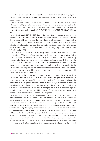BCR that were and continue to be intended for multinational data controllers who, as part of their work, collect, transfer and process personal data across the multinational corporation for special purposes.

The approval procedure for these BCR-C on the part of any personal data protection authority in the EU, as the lead supervisory authority, continues to take place based on the mentioned documents of the Article 29 Data Protection Working Party (WP 29), specifically the documents published under the code WP 74, WP 107, WP 108, WP 133, WP 153, WP 154, and WP 155.

In addition to classic BCR-C, BCR-P (Binding Corporate Rules for Processors) have not been newly defined. These are intended for major multinational personal data processors, usually cloud service providers who process the personal data of a large number of data controllers. As in the case of classic BCR-C, BCR-P are also subject to approval by a data protection authority in the EU, as the lead supervisory authority, with this procedure, its particulars and course being defined in the Article 29 Data Protection Working Party in documents WP 195, WP 195a, and WP 204.

Just as in the case of BCR-C, it is also necessary in the case of BCR-P to request authorisation from the Czech Office to transfer personal data to a third country according to Article 27(4) of Act No. 101/2000 Coll. before such transfer takes place. The authorisation is not requested by the multinational processor, but by the various data controllers who have decided to use the processor's services, usually cloud services. It should be noted that a data controller who decided to process personal data in a multinational cloud is, in such case, responsible for the personal data processing and that the authorisation to transfer personal data to third countries has to be requested even in this case before commencing the transfer in compliance with Article 27(4) of Act No. 101/2000 Coll.

Doubts regarding the Safe Harbour programme, as an instrument for the secure transfer of personal data from the EU to the USA, is also shared by the Office; therefore, it continues to recommend to data controllers (data exporters) to verify before any transfer whether the certification of the respective company continues to be valid, whether and in what way natural persons are informed about the internal procedures for complaints handling, or whether the "privacy policies" of the respective company are publicly accessible through, for example, the website. The Office should be informed if any shortcomings are ascertained in connection with the application of the Safe Harbour principle.

In 2013, the Office, as part of its authorisation activities, also dealt with requests for authorisation of the transfer of Advance Passenger Information Data (API data) of airlines to the United Arab Emirate and to South Korea. As it had previously, the Office arrived at the conclusion that in the case at hand, the condition of Section 27(3)(e) of Act No. 101/2000 Coll. would be met, i.e., that the transfer will be necessary for the performance of an agreement to which the data subject is a party. In the decision, the Office also took into account Article 13 of the Convention on International Civil Aviation of 7 December 1944 (Chicago Convention), published under No. 147/1947 Coll., under which the carrier must comply with the laws and regulations of a contracting State as to the admission of passengers to or the departure of passengers from its territory. In this connection, the Office, in its decision, took account of the fact that airlines intend to transfer the personal data of its passengers only to a limited extent involving personal data that are de facto given in passports and air tickets, rather than through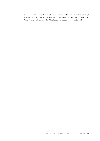its booking and check-in systems as is the case in transfers of Passenger Name Record Data (PNR data). In 2013, the Office received a request for authorisation of PRN data to the Republic of Korean from an airline carrier. The Office has still not made a decision on the matter.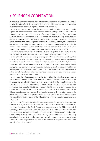### • SCHENGEN COOPERATION

In conformity with the Czech Republic's international cooperation obligations in the field of security, the Office effectively continued in line with established practice and in the exchange of information and experience regarding personal data protection.

In 2013, just as in previous years, the representatives of the Office took part in regular negotiations and efforts shared with supervisory bodies regarding supervision over extensive information systems, such as the Schengen Information System, the Visa Information System, Customs Information System and EURODAC, which processes chiefly the fingerprints of asylum seekers. In connection with the transfer to the second generation Schengen Information System, the operation of the European Council's Joint Supervisory Authority for SIS came to an end and was replaced by the SIS II Supervision Coordination Group, established under the European Data Protection Supervisor's Office, with the representative of the Czech Office attending the meeting of this group, which took place in the second half of 2013.

The Office again examined the security aspects of the migration to the new SIS II on the national level; this review, however, had still not been finalised by the end of 2013.

In 2013, the Office obtained 63 instigations regarding the visa policy of the Czech Republic, especially requests for information regarding visa proceedings, requests for meetings or other instigations, most of which were made in English, but also in Czech, French, Romanian, Russian etc., with the Office responding to all of them. It is of course necessary to state that visa applicants or people requesting related information erroneously believe that the Office has authority over visa policy in the Czech Republic. The Office, however, has authority in this area only if any of the extensive information systems operated in the Schengen area process personal data in an unauthorised manner.

In such case, the data subject, with regard to the fact that the principle of direct access to personal data is applied in the Czech Republic, is entitled to submit a request first to the information system administrator, which in the case of the SIS is the Police Presidium of the Czech Republic. If the Czech Police does not provide a data subject with a satisfactory response or does not respond at all within 60 days, the data subject is entitled to submit a complaint to the Office concerning the unauthorised processing of personal data, and only then can the Office exercise its supervisory powers. The respective forms and all information regarding the enforcement of the right to the protection of personal data in the area of Schengen cooperation are published on the website of the Office together with the respective request and complaint forms.

In 2013, the Office received a total of 9 requests regarding the processing of personal data in the SIS. With regard to the above, the requests were forwarded to the SIS administrator, i.e., the Police Presidium of the Czech Republic, for processing, and the Office informed all requesting parties about this fact. The Office also provided a number of telephone consultations and personal consultations regarding a record entered in SIS by another member state, with such request being, in compliance with EU regulations, forwarded to the supervisory authority of the responsible member state. One complaint regarding the processing of personal data in SIS was assigned to an inspector of the Office for investigation. The investigation was still not completed in 2013.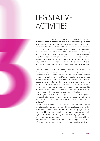### LEGISLATIVE ACTIVITIES

In 2013, a new key area of work in the field of legislation was the Data Protection Impact Assessment ("DPIA"), introduced into the legislative rules of the government in 2012. After many years of bustling legislative activity, which often did not take into account the specifics of work with information and privacy protection to a great degree, an instrument finally appeared in the Czech Republic, in the form of the DPIA, that reminds the people in charge of drafting regulations that they need to focus on implementing privacy protection rules already at the time of drafting plans and concepts, i.e., not by general proclamations about data protection with reference to Act No. 101/2000 Coll., but by describing and assessing the specific impacts of the proposed legislative solutions in existing and planned areas of personal data processing.

As part of the consultation procedure in respect of draft legislation, the Office attempted, in those cases where documents were presented to it, to identify key aspects of the intended personal data processing and propose the approach to take when drawing up DPIA, i.e., the obligation to explicitly state whether the proposed wording establishes a new personal data processing requirement, and if so, to justify the need for it and to describe its basic parameters: the purpose of processing, the category of processed personal data and key parts of the processing, namely the outputs of the processing and the personal data retention periods, with specifics and rules for publishing and accessing data on the Internet, which is so popular at this time.

With regard to the DPIA, it is not possible to accept draft legislation corresponding to information systems that were not set up in compliance with the principles for working with information and privacy protection (Privacy by Design).

The Office called attention to the need to draw up DPIA especially in the case of registries (registers, records) with personal data, which are kept by the public authorities. The legal regulation on maintaining registries is often very unspecific. Laws often contain only general mandates on maintaining registries, with the issue being delegated to implementing regulations, decrees or even the internal regulations of the registry administrator, which are usually not open to data subjects. Only to a limited degree is it possible to refer to the new Act on Public Registers of Legal Entities and Individuals, which

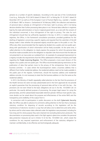pertains to a number of specific databases. According to the case law of the Constitutional Court (e.g., Ruling No. Pl.ÚS 24/10 dated 22 March 2011 or Ruling No. Pl. ÚS 24/11 dated 20 December 2011) as well as of the European Court of Human Rights (e.g., Leander v. Sweden of 26 March 1987 or Amann v. Switzerland of 16 February 2000), the collection and retention of personal data is already an infringement of the basic right to privacy, with it not being decisive whether their further processing takes place or not. Personal data collection in registries kept by the state administration or local or regional government, as a rule with the consent of the individual concerned, is thus infringement of the right to privacy. The rules for such infringement should then be sufficiently regulated in the law. In 2013, in matters regarding registries, the Office, in the framework consultation procedure, provided guidelines for the drafting of legislation concerning a specific registry and required that the submitter of the bill always made it clear whether the proposed registry would be open to the public or not. The Office also often recommended that the registry be divided into a public and non-public part, along with specification of which information will be freely accessible. At the same time, it called attention to the obligation to clearly express the purpose for which the personal data should be made accessible and to the obligation to stipulate rules that ensure that the data are not presented in an inaccurate our outdated form. An example of a proposed improvement to a registry includes the requirements that the Office addressed to Ministry of Industry and Trade regarding the Trade Licencing Register. The Office proposed a more exact division of this register into a public and non-public part. The Office recommended placing restrictions on the publication of data that pertain more to the privacy of the entrepreneur than to his/her business activities – in cases where the businessperson states a business address that is different from his/her residential address, the residential address need not be made available in the public part of the register; furthermore, should the business address and residential address coincide, it is not necessary to state that the business address is in fact the same as the residential address.

In 2013, the Ministry of Health repeatedly called attention to the fact that the provisions of the Health Services Act were not duly substantiated and in the form approved do not provide an explicit guarantee that the processing of personal data will be in line with the law – the provisions are not even linked to the basic obligations set out in Act No. 101/2000 Coll. (in particular: the exactly defined purpose of processing, the proper legal reason for using the personal data, and the substantiated reasonable retention period). Without more specific rules, more doubts can be raised about the purpose and effectiveness of the entire NHIS and the transparency and credibility of the output from it.

In connection with its participation in public discussion on the draft Cybernetic Security Act, the Office was able to advance its comments calling attention to the fact that a necessary statutory condition for disposing of records according to this legislation will be the maintenance of electronic records in a way that will allow one to determine and verify when, by whom and for what reason data collected under this legislation was processed, including for how long and for what purpose they were retained (not excluding destruction protocols). The documentation on processing data used in the fight against cybercrime considers the personal data protection measures set out in Article 13 of Act No. 101/2000 Coll., which create the conditions for any required supervision and enforcement of the statutory obligation to maintain confidentiality, to be effective and technologically adequate.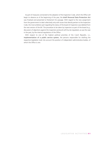As part of measures connected to the adoption of the Inspection Code, which the Office will begin to observe as of the beginning of the year, the draft Personal Data Protection Act was finalised and presented to Parliament for passage. With regard to the new assignment from the government to deal collectively only with issues that directly pertain to the Inspection Code, the most ambition part regarding the status of the board of inspectors was deleted from the new version of the bill. The procedure to be taken by inspectors as part of the board (e.g., discussion of objections against the inspection protocol) will thus be regulated, as was the case in the past, by the internal regulations of the Office.

With respect to one of the highest political priorities of the Czech Republic, i.e., implementation of a public service system, the persons responsible for drafting the respective legislation took into account the position of independent administrative bodies, of which the Office is one.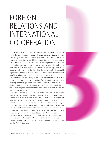# FOREIGN RELATIONS AND INTERNATIONAL CO-OPERATION

In 2013, just as in previous years, the Office devoted its energies to discussions of the new European framework for privacy protection, which have been going on almost continuously since January 2012. In addition to the directive on protection of individuals in connection with the processing of personal data by the respective authorities for the purpose of prevention, investigation, detection and prosecution of crimes or sentencing and on free movement of such data, discussions centred around the Regulation of the European Parliament and of the Council on the protection of individuals with regards to the processing of personal data and on the free movement of such data (General Data Protection Regulation, the "GDPR")

In connection with the drafting of the GDPR, the Office called attention to the need to update and revise translation of GDPR terminology into Czech. With regard to the scope of the work, where finalisation of the GDPR in 2014 will be the task of the new EU authorities, the Office views negatively the fact that to date the general position of the Czech Republic to the GDPR has not been brought up to date.

The Office commented on the work around the GDPR through the advisory body of the European Commission, the Data Protection Working Party (WP29), where the president of the Office is part of the management. Employees of the Office took part in five WP29 subgroups, which in 2013 drafted opinions not only on the above regulation and directive, but only on other issues, such as the current topic of cookies and "smart" devices and preparation and implementation of the innovative European directive on re-use of public sector information. The Office has traditionally taken part in special control group. An example is the Joint Supervisory Body of Europol.

Similarly, the representatives of the Office were active in joint supervisory bodies of some international information systems, namely the Schengen Information System, the Visa Information System, Customs Information System and the EURODAC system.

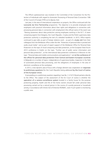The Office's spokeswoman was involved in the Committee of the Convention for the Protection of Individuals with regard to Automatic Processing of Personal Data (Convention 108) of the Council of Europe (T-PD) as its deputy chair.

Last year, in the area of international cooperation on projects, the Office continued with the Leonardo da Vinci Partnership programme. The objective is to provide employees (and employers) with practical information about their rights and obligations in connection with processing personal data in connection with employment (the official name of the event was "Raising awareness about data protection among employees working in the EU"). A team comprising experts from Bulgaria, the Czech Republic, Croatia and the Polish supervisory data protection authority is completing the text of a detailed handbook. In 2013, Office experts continued to give talks as part of foreign relations work – as part of a study visit from their colleagues from the Moldavian office under the title "Protection of personal data in printed and audio-visual media" and as part of expert support of the Moldavian Office for Personal Data Protection on the topic of cloud computing and data protection, at the European Data Forum 2013 conference in Dublin on the topic "Further use of public sector information and personal data protection", at the international data protection conference in Moscow on the topic "Personal data and mobile communications and applications" and at the conference of the offices for personal data protection from Central and Eastern European countries in Belgrade on a number of topics: independence of supervisory bodies, inspection in the field of automated personal data processing, and the obligations of employees in the area of electronic surveillance at the workplace.

In 2013, a new dynamic area of focus with a foreign element was cooperation on responses to preliminary questions (for the Czech Republic) being addressed by the Court of Justice of the European Union.

A proceeding on a preliminary question regarding Case No. C-212/13 Ryneš pertains directly to the Office. The subject of the assessment of the EU Court of Justice is whether the operation of a camera surveillance system located in a family house for the purpose protecting property, health and life of the home owners should fall under personal data processing carried out by a natural person in the course of a purely personal or household activity, in accordance with Article 3(2) of Directive 95/46/EC, even if such system is monitoring a public area.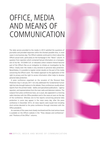# OFFICE, MEDIA AND MEANS OF COMMUNICATION

The daily service provided to the media in 2013 satisfied the questions of journalists and provided responses within the shortest possible time, in most cases in one business day. The Office's website continued to inform about the Office's actual work, particularly on the homepage in the "News" column. A question from reporters which contained factual information on a transgression of Act No. 101/2000 Coll. or indicated a direct violation thereof become part of the Office's files as an instigation to initiate an investigation by the Office. Clearly even the media is very sensitive to personal data protection. Nevertheless, it is possible to register certain doubts on the part of the media concerning the Office's work. The media's approach to the application of the right to privacy and the right to access information often helps to devalue personal data protection.

A press conference organised on the occasion of the Personal Data Protection Day in January 2011 not only addressed this fundamental human right but also brought balance to the debate. Press conferences usually attract reports from the printed media - dailies and specialised publications – agency reporters, and representatives from the main radio and television stations. The outputs from press conferences have, as is usual, also appeared in a morning radio interview with the Office president and in the news at noon on the day of the conference. Whereas one to five reports concerning personal data protection in some way appear in the news every day, after the press conference in December 2013, 22 news reports were issued (not including short entries devoted to the press conference through interviews with the Office president).

An overview of the cases most closely monitored and the most serious issues is available on the Office's website in the "Press releases and conferences" and "Positions of the Office" columns.

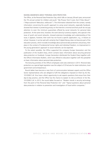#### RAISING AWARENESS ABOUT PERSONAL DATA PROTECTION

The Office, at the Personal Data Protection Day, which falls on January 28 each year, announced the 7th annual contest for children and youth "My Privacy! Don't Look, Don't Poke About!" ("Moje soukromí! Nekoukat, nešťourat!"). The information obtained from the contest, namely information concerning the youth's approach to using social networks, especially Facebook, showed that interest in protecting privacy on the Internet is minimal and that youth do not pay attention to even the minimum guarantees offered by social networks for personal data protection. At the same time, however, the work done by numerous experts, who special in the issue of youth and social networks, showed extensive knowledge and understanding of the issue; it appears, however, their work has not found a specific application, e.g., in lessons at school. However, it can be said with certainty that if digital literacy does not become part of the education process, which includes knowledge about personal data protection and privacy, their place in the context of fundamental human rights and individual freedom, no improvement in the young generation's approach to social networks can be expected.

To the extent possible, the Office supported the company Europe Generation and the publication of the Student Diary, which contains basic information about securing personal data protection on Facebook. Europe Generation distributed the Student Diary together with the Office's Information Bulletin, which was offered to educators together with the pamphlet on basic information about personal data protection.

The lecturing activities of the Office's employees were also extensive in 2013. Personal data protection as a special legal regulation was the subject of 33 lectures for state institutions, local government and entrepreneurs.

Round tables have become a new form of communication between experts and the Office Sector representatives who are obliged to fulfil the obligations imposed on them by Act No. 101/2000 Coll. thus have a direct opportunity to ask experts questions that ensue from their day-to-day practice, and the Office has the chance to explain its role as enforcer of Act No. 101/2000 Coll. In 2013, the round tables focused on "Modern trends in security technology from the point of the Personal Data Protection Act" and "Topical questions about personal data protection in relation to prevention and investigation of fraud within companies."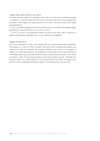#### LIBRARY AND PUBLICATIONS OF THE OFFICE

The library provides support for employees of the Office. It is also open to professional public on request. It is used by students for their theses and dissertations concerning personal data protection. These papers are usually donated to the Office and become part of this highly specialised library.

In 2013, the Office published volumes 64 to 66 of its Journal. The Office has decided to begin publishing the Journal in electronic form only as of 2014.

In 2013, an issue of the Information Bulletin focused on the wide range of opinions of experts on the dangers that youth face on social networks was published.

#### WEBSITE OF THE OFFICE

The Office has decided to create a new website with more comprehensive search possibilities. Work began on it after the Office, through a discussion forum, examined the opinions and needs of the users of its website. The company Webhouse was chosen as the supplier. In addition to a more pleasant layout, the website has to allow experts and the general public to immediately obtain documents specifically focused on personal data protection. It also makes it possible to search for documents according to the various articles of Act No. 101/2000 Coll. and group them into a single overview. For the internal needs of the Office, the website introduces an effective editing and publication system. It will be launched in January 2014.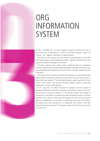# ORG INFORMATION **SYSTEM**

Act No. 111/2009 Coll., on basic registers, brought the Office the task of ensuring secure identification of citizens in the Basic Registers system via "source" and "agenda" identifiers of natural persons.

The result of this request was the creation and operation of the ORG Information System, which creates and submits "agenda" identifiers from one agenda to another and keeps a list of them.

The basic registers also contain other referential data on individuals (citizens), legal persons, self-employed individuals and public authorities, thereby simplifying and speeding up communication between people and the authorities.

At the end of 2013, the *basic registers have already connected* 2700 public administration information systems through which end users have access to data in the basic registers. The entire basic registers system operates 24 hours a day, 7 days a week. The scope of the basic registers system includes the registration of close to 400 agendas.

As of 1 July 2012, the ORG IS has been in operation and the number of processed transactions has been increasing. The marked increase in the number was due to this year's elections. In the election period, the number of transactions in the ORG IS increased three-fold compared to normal. The basic registers were used to create electoral registers for the various electoral districts. In September, the number of transactions was close to 20 million. The system was most burdened on 2 September 2013 when 2 720 950 transactions were processed. The average number of transactions per month is 13 262 758.

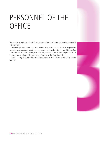# PERSONNEL OF THE **OFFICE**

The number of positions at the Office is determined by the state budget and has been set at 102 since 2010.

The employee fluctuation rate was around 10%, the same as last year. Employment contracts were concluded with ten new employees and terminated with nine. Of these, four retired and two went on maternity leave. The ten-year term of one inspector expired, so a new inspector was appointed in his place by the President of the Czech Republic.

As of 1 January 2013, the Office had 99 employees; as at 31 December 2013, this number was 100.

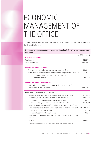# ECONOMIC MANAGEMENT OF THE OFFICE

The budget of the Office was approved by Act No. 504/2012 Coll., on the State budget of the Czech Republic for 2013.

Utilisation of state budget resources under Heading 343 - Office for Personal Data Protection

|                                                                                                                          | in CZK thousands |
|--------------------------------------------------------------------------------------------------------------------------|------------------|
| <b>Summary indicators</b>                                                                                                |                  |
| Total income                                                                                                             | 11881.33         |
| Total expenditures                                                                                                       | 128 731.47       |
| Specific indicators - income                                                                                             |                  |
| Total non-tax and capital income and accepted transfers                                                                  | 11 881.33        |
| of which: total income from the budget of the European Union. excl. CAP<br>other non-tax and capital income and accepted | 4 380.07         |
| transfers in total                                                                                                       | 7 501.26         |
| Specific indicators - expenditures                                                                                       |                  |
| Expenditures to ensure performance of the tasks of the Office                                                            |                  |
| for Personal Data Protection                                                                                             | 128 731,47       |
| <b>Cross-cutting expenditure indicators</b>                                                                              |                  |
| Salaries of employees and other payments for performed work                                                              | 43 787.90        |
| Mandatory insurance premiums paid by the employer*)                                                                      | 14 805.25        |
| Contribution to the Cultural and Social Needs Fund                                                                       | 425.13           |
| Salaries of employees within an employment relationship                                                                  | 34 246.50        |
| Salaries of employees derived from salaries of constitutional officials                                                  | 8 135.00         |
| Total expenditures co-financed from the budget of the European, excl. CAP                                                | 1871.00          |
| of which: from the state budget                                                                                          | 265.98           |
| contribution from the EU budget                                                                                          | 1 605.02         |
| Total expenditures recorded in the information system of programme                                                       |                  |
| financing                                                                                                                |                  |
| EDS/SMVS                                                                                                                 | 17 644 03        |
|                                                                                                                          |                  |

<sup>∗</sup>) social security and state employment policy premiums and health insurance premiums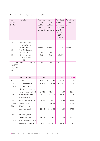Overview of state budget utilisation in 2013

| Type of<br>budget<br>structure                    | Indicator                                                             | Approved<br>budget<br>2013 in<br><b>CZK</b><br>thousands | Final<br>budget<br>2013 in<br><b>CZK</b><br>thousands | Actual state<br>according<br>to financial<br>statements<br>as at 31<br>Dec. 2013<br>in CZK<br>thousands | Actual/Final<br>budget<br>in<br>$\frac{0}{0}$ |
|---------------------------------------------------|-----------------------------------------------------------------------|----------------------------------------------------------|-------------------------------------------------------|---------------------------------------------------------------------------------------------------------|-----------------------------------------------|
| 4118                                              | Non-investment<br>transfers from the<br>National Fund                 | 571.00                                                   | 571.00                                                | 4 2 8 2.29                                                                                              | 749.96                                        |
| 4135                                              | Transfers from the<br>OUS reserve funds                               | 0.00                                                     | 0.00                                                  | 72.21                                                                                                   |                                               |
| 4153                                              | Non-investment<br>transfers received<br>from EU                       | 0.00                                                     | 0.00                                                  | 25.57                                                                                                   |                                               |
| 2141, 2211,<br>2212, 2322,<br>2324, 3113,<br>4132 | Other non-tax income                                                  | 0.00                                                     | 0.00                                                  | 7 501.26                                                                                                |                                               |
|                                                   |                                                                       |                                                          |                                                       |                                                                                                         |                                               |
|                                                   | <b>TOTAL INCOME</b>                                                   | 571.00                                                   | 571.00                                                | 11 881.33                                                                                               | 2 080.79                                      |
| 501                                               | Salarie                                                               | 42 409                                                   | 42 421.50                                             | 42 381.50                                                                                               | 99.91                                         |
| 5011                                              | Employee salaries                                                     | 34 244                                                   | 34 256.50                                             | 34 246.50                                                                                               | 99.97                                         |
| 5014                                              | Employee salaries<br>derived from salaries<br>of government officials | 8 1 6 5 8                                                | 165.008                                               | 135.00                                                                                                  | 99.63                                         |
| 502                                               | Other payments for<br>executed work                                   | 2 0 5 5                                                  | 2 056.40                                              | 1 406.40                                                                                                | 68.39                                         |
| 5021                                              | Other personnel costs                                                 | 1755                                                     | 1756.40                                               | 1 406.40                                                                                                | 68.39                                         |
| 5024                                              | Severance pay                                                         | 300                                                      | 300.00                                                | 0.00                                                                                                    | 0.00                                          |
| 503                                               | Mandatory insurance<br>premiums paid by<br>employer                   | 15 118                                                   | 15 122.25                                             | 14 805.25                                                                                               | 97.90                                         |
| 5031                                              | Mandatory social                                                      |                                                          |                                                       |                                                                                                         |                                               |
|                                                   | security premiums                                                     | 11 116                                                   | 11 119.12                                             | 10 864.12                                                                                               | 97.71                                         |
| 5032                                              | Mandatory public health<br>insurance premiums                         | 4 0 0 2                                                  | 4 003.13                                              | 3 941.13                                                                                                | 98.45                                         |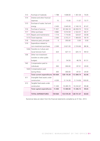| 513  | Purchase of materials         | 1788        | 1838.00    | 1 361.04   | 74.05  |
|------|-------------------------------|-------------|------------|------------|--------|
| 514  | Interest and other financial  |             |            |            |        |
|      | expenses                      | 15          | 15.00      | 11.07      | 73.77  |
| 515  | Purchase of water, fuel and   |             |            |            |        |
|      | energy                        | 2 4 3 0     | 2 645.00   | 2 160.19   | 81.67  |
| 516  | Purchase of services          | 71 957      | 65 304.18  | 46 059.70  | 70.53  |
| 517  | Other purchases               | 4882        | 5 014.50   | 2 322.01   | 46.31  |
| 5171 | Repairs and maintenance       | 1 7 1 4     | 1 714.00   | 524.07     | 30.58  |
| 5173 | Travel expenses               | 2 300       | 2 372.21   | 1 404.05   | 59.19  |
| 518  | Advances paid, principals     | $\mathbf 0$ | 350.00     | 0.00       | 0.00   |
| 519  | Expenditure related to        |             |            |            |        |
|      | non-investment purchases      | 2 2 6 9     | 2 621.93   | 2 316.66   | 88.36  |
| 5342 | Transfers to Culture and      |             |            |            |        |
|      | Social Services Fund          | 424         | 427.13     | 425.13     | 99.53  |
| 536  | Other non-investment          |             |            |            |        |
|      | transfers to other public     |             |            |            |        |
|      | budgets                       | 17          | 54.50      | 48.78      | 81.51  |
| 542  | Compensation paid to          |             |            |            |        |
|      | individuals                   | 300         | 300.00     | 87.01      | 29.00  |
| 5424 | Compensations paid            |             |            |            |        |
|      | during illness                | 300         | 300.00     | 87.01      | 29.00  |
|      | Total current expenditures    | 143 664     | 138 170.39 | 113 384.74 | 82.06  |
| 611  | Intangible fixed assets under |             |            |            |        |
|      | construction                  | 4 200       | 5 114.30   | 5 114.06   | 100.00 |
| 612  | Tangible fixed assets under   |             |            |            |        |
|      | construction                  | 11 200      | 10 285.70  | 10 232.67  | 99.48  |
|      | Total capital expenditures    | 15 400      | 15 400.00  | 15 346.73  | 99.65  |
|      | <b>TOTAL EXPENDITURES</b>     | 159 064     | 153 570.39 | 128 731.47 | 83.83  |

Numerical data are taken from the financial statements compiled as at 31 Dec. 2013.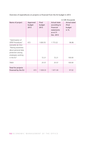Overview of expenditures on projects co-financed from the EU budget in 2013

| in CZK thousands                                                                                                      |                            |                         |                                                                                         |                                             |  |
|-----------------------------------------------------------------------------------------------------------------------|----------------------------|-------------------------|-----------------------------------------------------------------------------------------|---------------------------------------------|--|
| Name of project                                                                                                       | Approved<br>budget<br>2013 | Final<br>budget<br>2013 | <b>Actual state</b><br>according to<br>financial<br>statements<br>as at 31<br>Dec. 2013 | Actual state/<br>/final<br>budget<br>in $%$ |  |
| "Optimisation of<br><b>OPDP</b> Procedures"                                                                           | 672                        | 1830.55                 | 1 773.22                                                                                | 96.86                                       |  |
| Leonardo da Vinci<br>"Raising awareness<br>about personal data<br>protection among<br>employees working<br>in the EU" |                            | 72.21                   | 72.21                                                                                   | 100.00                                      |  |
|                                                                                                                       |                            |                         |                                                                                         |                                             |  |
| <b>TAIEX</b>                                                                                                          |                            | 25.57                   | 25.57                                                                                   | 100.00                                      |  |
| Total for projects<br>financed by the EU                                                                              | 672                        | 1928.33                 | 1871.00                                                                                 | 97.02                                       |  |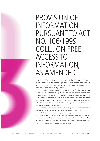### PROVISION OF INFORMATION PURSUANT TO ACT NO. 106/1999 COLL., ON FREE ACCESS TO INFORMATION, AS AMENDED

In 2013, the Office received a total of 79 requests for information. Compared to the previous year, this number represents an increase of almost 100%, as was then case of 2012 compared to 2011. The public's growing interest in the work of the Office is clearly a trend.

Of the total number of information requests, the Office fully satisfied 47, partially rejected 22 and fully rejected 10. Among the most frequent reasons for the partial or full rejection of information requests was protection of the personal data contained in the information requested, protection of information obtained during inspections (such information is protected by the law and subject to confidentiality), or the fact that the request concerned information that was not available to the Office.

In terms of content, most information requests pertained to the decisions of the Office. The requesting parties demanded either inspection conclusions or administrative decisions regarding certain categories of data controllers or more information in the case of proceedings that the Office, as the pertinent authority, initiated based on their prior instigation. A significant percentage of information requests pertained to the Office's spending, especially on hardware and software and on personnel and salaries.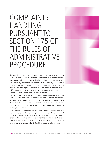### COMPLAINTS HANDLING PURSUANT TO SECTION 175 OF THE RULES OF ADMINISTRATIVE PROCEDURE

The Office handled complaints pursuant to Article 175 in 2013 as well. Based on this provision, the affected parties are entitled to turn to the administrative body with complaints in the event they believe that the administrative body acted incorrectly or one its employees behaved inappropriately. The concept of complaints pursuant to Article 175 of the Code of Administrative Procedure serve to protect the rights of the affected parties if the law does not provide a different means of protection, which in particular means appeals and other ordinary and extraordinary legal corrective measures.

In 2013, the Office handled 41 complaints. These were assessed and then handled as complaints pursuant to Section 175 of the Code of Administrative Procedure. Of the complaints, 10 were assessed as warranted and 7 as partially warranted. The remaining 24 complaints were assessed as unwarranted. Compared with the previous year, the number of complaints continues to increase, albeit slightly.

The vast majority complaints related to disagreement with the handling of the prior instigation that the complainant sent to the Office and which concerned a suspected violation of Act No. 101/2000 Coll. In ten cases, a review of the complaint concluded that the Office did not proceed correctly when assessing the prior instigation from the complainant. In such cases, the complaint was forwarded either to the Office inspector who conducted the

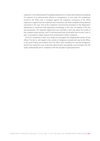inspection or the Administrative Proceedings Department to initiate administrative proceedings for suspicion of an administrative offence or transgression. In nine cases, the complainant turned to the Office with a complaint against the inspection conclusions of the Office inspectors or against how the inspection was conducted, with three complaints being deemed warranted in this case. One of the complaints concerned the procedure of the Registration Department in connection with registration proceedings; in this case, no violation of the law was ascertained. The respective department was informed in each case about the results of the complaint review process, and if it was discovered that its procedure was incorrect, even in part, it was asked to adopt measure that would prevent further complaints.

Of the 41 complaints in total, not a single one was against the inappropriate conduct of any official. This fact is, with regard to the number of instigations received each year by the Office, a very good finding and evidence that the Office when handling the received instigations, performing inspections and conducting administrative proceedings communicates with the public professionally and in compliance with the principle of good governance.